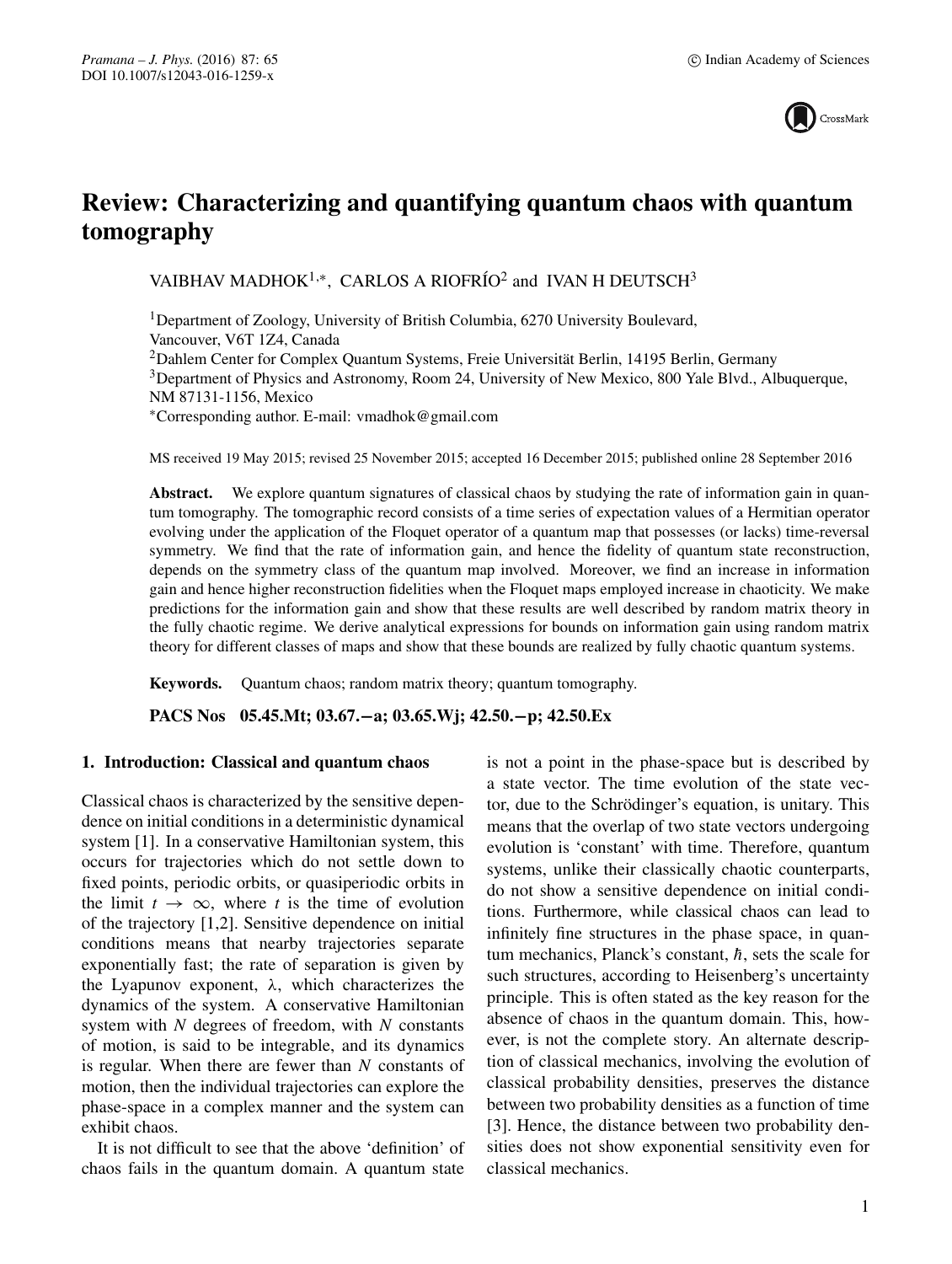

# **Review: Characterizing and quantifying quantum chaos with quantum tomography**

VAIBHAV MADHOK<sup>1,\*</sup>, CARLOS A RIOFRÍO<sup>2</sup> and IVAN H DEUTSCH<sup>3</sup>

<sup>1</sup>Department of Zoology, University of British Columbia, 6270 University Boulevard, Vancouver, V6T 1Z4, Canada 2Dahlem Center for Complex Quantum Systems, Freie Universität Berlin, 14195 Berlin, Germany <sup>3</sup>Department of Physics and Astronomy, Room 24, University of New Mexico, 800 Yale Blvd., Albuquerque, NM 87131-1156, Mexico ∗Corresponding author. E-mail: vmadhok@gmail.com

MS received 19 May 2015; revised 25 November 2015; accepted 16 December 2015; published online 28 September 2016

**Abstract.** We explore quantum signatures of classical chaos by studying the rate of information gain in quantum tomography. The tomographic record consists of a time series of expectation values of a Hermitian operator evolving under the application of the Floquet operator of a quantum map that possesses (or lacks) time-reversal symmetry. We find that the rate of information gain, and hence the fidelity of quantum state reconstruction, depends on the symmetry class of the quantum map involved. Moreover, we find an increase in information gain and hence higher reconstruction fidelities when the Floquet maps employed increase in chaoticity. We make predictions for the information gain and show that these results are well described by random matrix theory in the fully chaotic regime. We derive analytical expressions for bounds on information gain using random matrix theory for different classes of maps and show that these bounds are realized by fully chaotic quantum systems.

**Keywords.** Quantum chaos; random matrix theory; quantum tomography.

**PACS Nos 05.45.Mt; 03.67.−a; 03.65.Wj; 42.50.−p; 42.50.Ex**

# **1. Introduction: Classical and quantum chaos**

Classical chaos is characterized by the sensitive dependence on initial conditions in a deterministic dynamical system [1]. In a conservative Hamiltonian system, this occurs for trajectories which do not settle down to fixed points, periodic orbits, or quasiperiodic orbits in the limit  $t \to \infty$ , where *t* is the time of evolution of the trajectory [1,2]. Sensitive dependence on initial conditions means that nearby trajectories separate exponentially fast; the rate of separation is given by the Lyapunov exponent,  $\lambda$ , which characterizes the dynamics of the system. A conservative Hamiltonian system with  $N$  degrees of freedom, with  $N$  constants of motion, is said to be integrable, and its dynamics is regular. When there are fewer than  $N$  constants of motion, then the individual trajectories can explore the phase-space in a complex manner and the system can exhibit chaos.

It is not difficult to see that the above 'definition' of chaos fails in the quantum domain. A quantum state is not a point in the phase-space but is described by a state vector. The time evolution of the state vector, due to the Schrödinger's equation, is unitary. This means that the overlap of two state vectors undergoing evolution is 'constant' with time. Therefore, quantum systems, unlike their classically chaotic counterparts, do not show a sensitive dependence on initial conditions. Furthermore, while classical chaos can lead to infinitely fine structures in the phase space, in quantum mechanics, Planck's constant,  $\hbar$ , sets the scale for such structures, according to Heisenberg's uncertainty principle. This is often stated as the key reason for the absence of chaos in the quantum domain. This, however, is not the complete story. An alternate description of classical mechanics, involving the evolution of classical probability densities, preserves the distance between two probability densities as a function of time [3]. Hence, the distance between two probability densities does not show exponential sensitivity even for classical mechanics.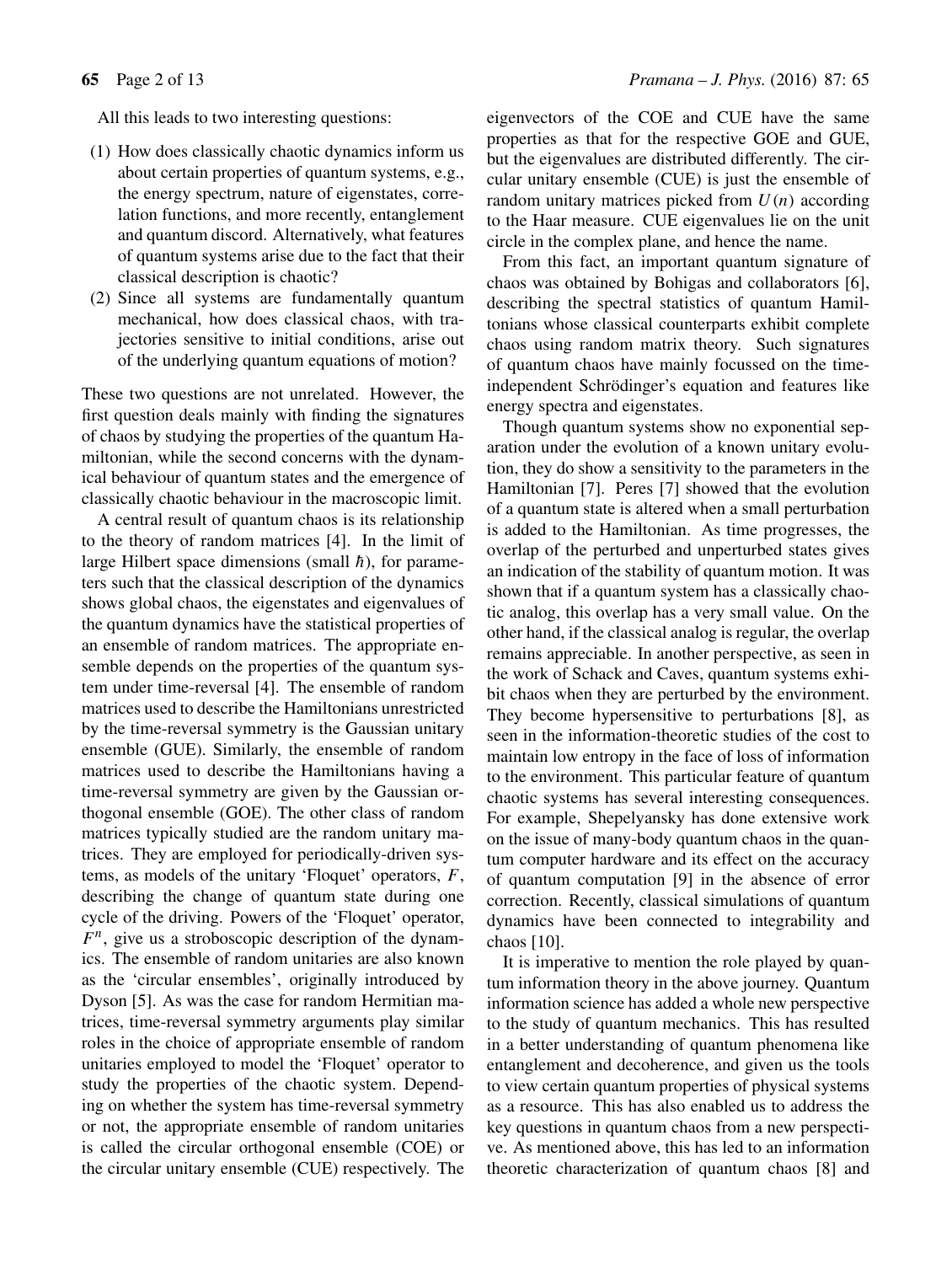All this leads to two interesting questions:

- (1) How does classically chaotic dynamics inform us about certain properties of quantum systems, e.g., the energy spectrum, nature of eigenstates, correlation functions, and more recently, entanglement and quantum discord. Alternatively, what features of quantum systems arise due to the fact that their classical description is chaotic?
- (2) Since all systems are fundamentally quantum mechanical, how does classical chaos, with trajectories sensitive to initial conditions, arise out of the underlying quantum equations of motion?

These two questions are not unrelated. However, the first question deals mainly with finding the signatures of chaos by studying the properties of the quantum Hamiltonian, while the second concerns with the dynamical behaviour of quantum states and the emergence of classically chaotic behaviour in the macroscopic limit.

A central result of quantum chaos is its relationship to the theory of random matrices [4]. In the limit of large Hilbert space dimensions (small  $\hbar$ ), for parameters such that the classical description of the dynamics shows global chaos, the eigenstates and eigenvalues of the quantum dynamics have the statistical properties of an ensemble of random matrices. The appropriate ensemble depends on the properties of the quantum system under time-reversal [4]. The ensemble of random matrices used to describe the Hamiltonians unrestricted by the time-reversal symmetry is the Gaussian unitary ensemble (GUE). Similarly, the ensemble of random matrices used to describe the Hamiltonians having a time-reversal symmetry are given by the Gaussian orthogonal ensemble (GOE). The other class of random matrices typically studied are the random unitary matrices. They are employed for periodically-driven systems, as models of the unitary 'Floquet' operators, F, describing the change of quantum state during one cycle of the driving. Powers of the 'Floquet' operator,  $F<sup>n</sup>$ , give us a stroboscopic description of the dynamics. The ensemble of random unitaries are also known as the 'circular ensembles', originally introduced by Dyson [5]. As was the case for random Hermitian matrices, time-reversal symmetry arguments play similar roles in the choice of appropriate ensemble of random unitaries employed to model the 'Floquet' operator to study the properties of the chaotic system. Depending on whether the system has time-reversal symmetry or not, the appropriate ensemble of random unitaries is called the circular orthogonal ensemble (COE) or the circular unitary ensemble (CUE) respectively. The eigenvectors of the COE and CUE have the same properties as that for the respective GOE and GUE, but the eigenvalues are distributed differently. The circular unitary ensemble (CUE) is just the ensemble of random unitary matrices picked from  $U(n)$  according to the Haar measure. CUE eigenvalues lie on the unit circle in the complex plane, and hence the name.

From this fact, an important quantum signature of chaos was obtained by Bohigas and collaborators [6], describing the spectral statistics of quantum Hamiltonians whose classical counterparts exhibit complete chaos using random matrix theory. Such signatures of quantum chaos have mainly focussed on the timeindependent Schrödinger's equation and features like energy spectra and eigenstates.

Though quantum systems show no exponential separation under the evolution of a known unitary evolution, they do show a sensitivity to the parameters in the Hamiltonian [7]. Peres [7] showed that the evolution of a quantum state is altered when a small perturbation is added to the Hamiltonian. As time progresses, the overlap of the perturbed and unperturbed states gives an indication of the stability of quantum motion. It was shown that if a quantum system has a classically chaotic analog, this overlap has a very small value. On the other hand, if the classical analog is regular, the overlap remains appreciable. In another perspective, as seen in the work of Schack and Caves, quantum systems exhibit chaos when they are perturbed by the environment. They become hypersensitive to perturbations [8], as seen in the information-theoretic studies of the cost to maintain low entropy in the face of loss of information to the environment. This particular feature of quantum chaotic systems has several interesting consequences. For example, Shepelyansky has done extensive work on the issue of many-body quantum chaos in the quantum computer hardware and its effect on the accuracy of quantum computation [9] in the absence of error correction. Recently, classical simulations of quantum dynamics have been connected to integrability and chaos [10].

It is imperative to mention the role played by quantum information theory in the above journey. Quantum information science has added a whole new perspective to the study of quantum mechanics. This has resulted in a better understanding of quantum phenomena like entanglement and decoherence, and given us the tools to view certain quantum properties of physical systems as a resource. This has also enabled us to address the key questions in quantum chaos from a new perspective. As mentioned above, this has led to an information theoretic characterization of quantum chaos [8] and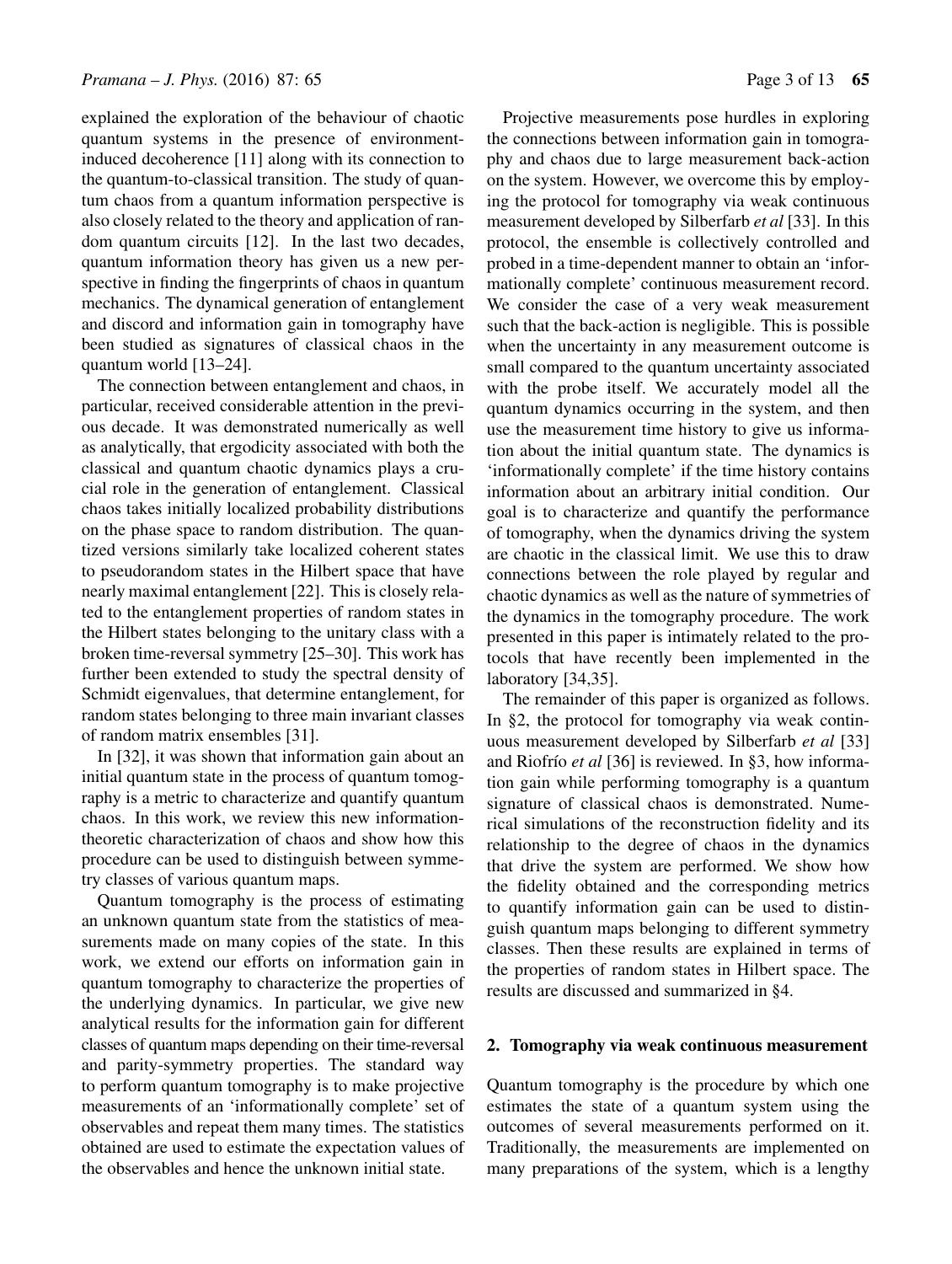explained the exploration of the behaviour of chaotic quantum systems in the presence of environmentinduced decoherence [11] along with its connection to the quantum-to-classical transition. The study of quantum chaos from a quantum information perspective is also closely related to the theory and application of random quantum circuits [12]. In the last two decades, quantum information theory has given us a new perspective in finding the fingerprints of chaos in quantum mechanics. The dynamical generation of entanglement and discord and information gain in tomography have been studied as signatures of classical chaos in the quantum world [13–24].

The connection between entanglement and chaos, in particular, received considerable attention in the previous decade. It was demonstrated numerically as well as analytically, that ergodicity associated with both the classical and quantum chaotic dynamics plays a crucial role in the generation of entanglement. Classical chaos takes initially localized probability distributions on the phase space to random distribution. The quantized versions similarly take localized coherent states to pseudorandom states in the Hilbert space that have nearly maximal entanglement [22]. This is closely related to the entanglement properties of random states in the Hilbert states belonging to the unitary class with a broken time-reversal symmetry [25–30]. This work has further been extended to study the spectral density of Schmidt eigenvalues, that determine entanglement, for random states belonging to three main invariant classes of random matrix ensembles [31].

In [32], it was shown that information gain about an initial quantum state in the process of quantum tomography is a metric to characterize and quantify quantum chaos. In this work, we review this new informationtheoretic characterization of chaos and show how this procedure can be used to distinguish between symmetry classes of various quantum maps.

Quantum tomography is the process of estimating an unknown quantum state from the statistics of measurements made on many copies of the state. In this work, we extend our efforts on information gain in quantum tomography to characterize the properties of the underlying dynamics. In particular, we give new analytical results for the information gain for different classes of quantum maps depending on their time-reversal and parity-symmetry properties. The standard way to perform quantum tomography is to make projective measurements of an 'informationally complete' set of observables and repeat them many times. The statistics obtained are used to estimate the expectation values of the observables and hence the unknown initial state.

Projective measurements pose hurdles in exploring the connections between information gain in tomography and chaos due to large measurement back-action on the system. However, we overcome this by employing the protocol for tomography via weak continuous measurement developed by Silberfarb *et al* [33]. In this protocol, the ensemble is collectively controlled and probed in a time-dependent manner to obtain an 'informationally complete' continuous measurement record. We consider the case of a very weak measurement such that the back-action is negligible. This is possible when the uncertainty in any measurement outcome is small compared to the quantum uncertainty associated with the probe itself. We accurately model all the quantum dynamics occurring in the system, and then use the measurement time history to give us information about the initial quantum state. The dynamics is 'informationally complete' if the time history contains information about an arbitrary initial condition. Our goal is to characterize and quantify the performance of tomography, when the dynamics driving the system are chaotic in the classical limit. We use this to draw connections between the role played by regular and chaotic dynamics as well as the nature of symmetries of the dynamics in the tomography procedure. The work presented in this paper is intimately related to the protocols that have recently been implemented in the laboratory [34,35].

The remainder of this paper is organized as follows. In §2, the protocol for tomography via weak continuous measurement developed by Silberfarb *et al* [33] and Riofrío *et al* [36] is reviewed. In §3, how information gain while performing tomography is a quantum signature of classical chaos is demonstrated. Numerical simulations of the reconstruction fidelity and its relationship to the degree of chaos in the dynamics that drive the system are performed. We show how the fidelity obtained and the corresponding metrics to quantify information gain can be used to distinguish quantum maps belonging to different symmetry classes. Then these results are explained in terms of the properties of random states in Hilbert space. The results are discussed and summarized in §4.

### **2. Tomography via weak continuous measurement**

Quantum tomography is the procedure by which one estimates the state of a quantum system using the outcomes of several measurements performed on it. Traditionally, the measurements are implemented on many preparations of the system, which is a lengthy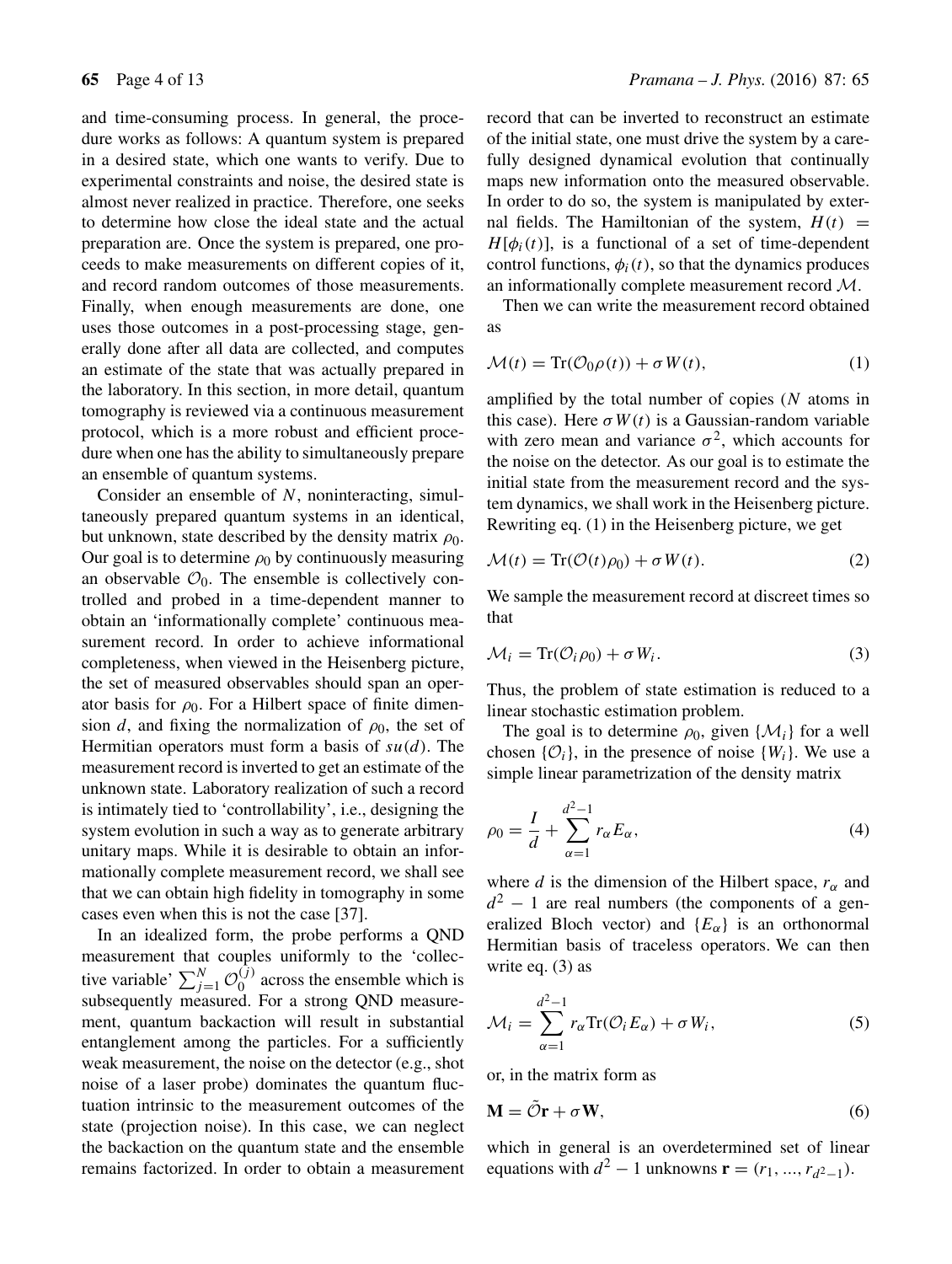and time-consuming process. In general, the procedure works as follows: A quantum system is prepared in a desired state, which one wants to verify. Due to experimental constraints and noise, the desired state is almost never realized in practice. Therefore, one seeks to determine how close the ideal state and the actual preparation are. Once the system is prepared, one proceeds to make measurements on different copies of it, and record random outcomes of those measurements. Finally, when enough measurements are done, one uses those outcomes in a post-processing stage, generally done after all data are collected, and computes an estimate of the state that was actually prepared in the laboratory. In this section, in more detail, quantum tomography is reviewed via a continuous measurement protocol, which is a more robust and efficient procedure when one has the ability to simultaneously prepare an ensemble of quantum systems.

Consider an ensemble of  $N$ , noninteracting, simultaneously prepared quantum systems in an identical, but unknown, state described by the density matrix  $\rho_0$ . Our goal is to determine  $\rho_0$  by continuously measuring an observable  $\mathcal{O}_0$ . The ensemble is collectively controlled and probed in a time-dependent manner to obtain an 'informationally complete' continuous measurement record. In order to achieve informational completeness, when viewed in the Heisenberg picture, the set of measured observables should span an operator basis for  $\rho_0$ . For a Hilbert space of finite dimension d, and fixing the normalization of  $\rho_0$ , the set of Hermitian operators must form a basis of  $su(d)$ . The measurement record is inverted to get an estimate of the unknown state. Laboratory realization of such a record is intimately tied to 'controllability', i.e., designing the system evolution in such a way as to generate arbitrary unitary maps. While it is desirable to obtain an informationally complete measurement record, we shall see that we can obtain high fidelity in tomography in some cases even when this is not the case [37].

In an idealized form, the probe performs a QND measurement that couples uniformly to the 'collective variable'  $\sum_{j=1}^{N} \mathcal{O}_0^{(j)}$  across the ensemble which is subsequently measured. For a strong QND measurement, quantum backaction will result in substantial entanglement among the particles. For a sufficiently weak measurement, the noise on the detector (e.g., shot noise of a laser probe) dominates the quantum fluctuation intrinsic to the measurement outcomes of the state (projection noise). In this case, we can neglect the backaction on the quantum state and the ensemble remains factorized. In order to obtain a measurement record that can be inverted to reconstruct an estimate of the initial state, one must drive the system by a carefully designed dynamical evolution that continually maps new information onto the measured observable. In order to do so, the system is manipulated by external fields. The Hamiltonian of the system,  $H(t)$  =  $H[\phi_i(t)]$ , is a functional of a set of time-dependent control functions,  $\phi_i(t)$ , so that the dynamics produces an informationally complete measurement record M.

Then we can write the measurement record obtained as

$$
\mathcal{M}(t) = \text{Tr}(\mathcal{O}_0 \rho(t)) + \sigma W(t), \qquad (1)
$$

amplified by the total number of copies  $(N \times n)$ this case). Here  $\sigma W(t)$  is a Gaussian-random variable with zero mean and variance  $\sigma^2$ , which accounts for the noise on the detector. As our goal is to estimate the initial state from the measurement record and the system dynamics, we shall work in the Heisenberg picture. Rewriting eq. (1) in the Heisenberg picture, we get

$$
\mathcal{M}(t) = \text{Tr}(\mathcal{O}(t)\rho_0) + \sigma W(t). \tag{2}
$$

We sample the measurement record at discreet times so that

$$
\mathcal{M}_i = \text{Tr}(\mathcal{O}_i \rho_0) + \sigma W_i.
$$
 (3)

Thus, the problem of state estimation is reduced to a linear stochastic estimation problem.

The goal is to determine  $\rho_0$ , given { $\mathcal{M}_i$ } for a well chosen  $\{O_i\}$ , in the presence of noise  $\{W_i\}$ . We use a simple linear parametrization of the density matrix

$$
\rho_0 = \frac{I}{d} + \sum_{\alpha=1}^{d^2 - 1} r_{\alpha} E_{\alpha},
$$
\n(4)

where d is the dimension of the Hilbert space,  $r_{\alpha}$  and  $d^2 - 1$  are real numbers (the components of a generalized Bloch vector) and  ${E_\alpha}$  is an orthonormal Hermitian basis of traceless operators. We can then write eq. (3) as

$$
\mathcal{M}_i = \sum_{\alpha=1}^{d^2-1} r_{\alpha} \text{Tr}(\mathcal{O}_i E_{\alpha}) + \sigma W_i,
$$
\n(5)

or, in the matrix form as

$$
\mathbf{M} = \tilde{\mathcal{O}} \mathbf{r} + \sigma \mathbf{W},\tag{6}
$$

which in general is an overdetermined set of linear equations with  $d^2 - 1$  unknowns **r** =  $(r_1, ..., r_{d^2-1})$ .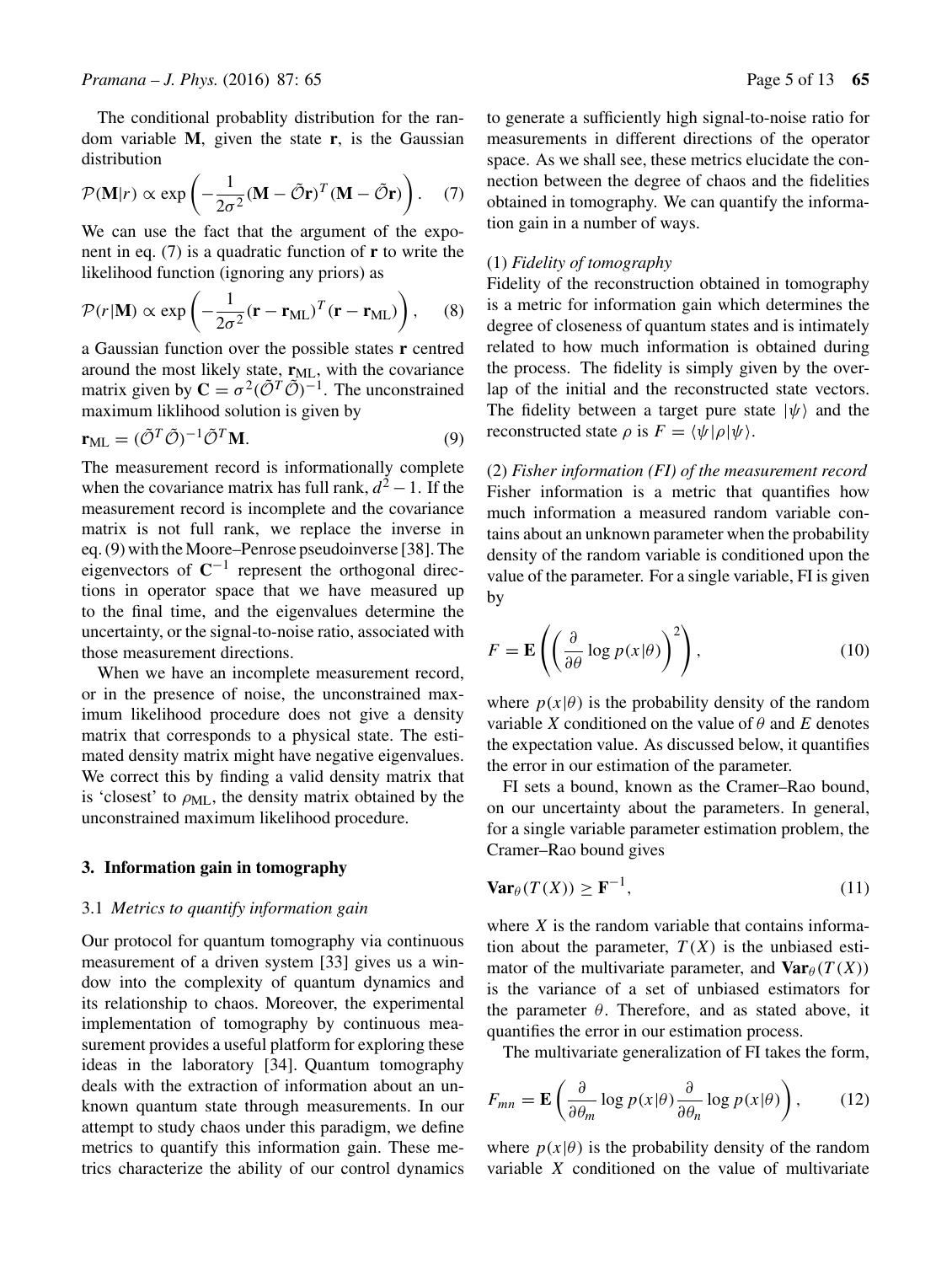The conditional probablity distribution for the random variable **M**, given the state **r**, is the Gaussian distribution

$$
\mathcal{P}(\mathbf{M}|r) \propto \exp\left(-\frac{1}{2\sigma^2}(\mathbf{M} - \tilde{\mathcal{O}}\mathbf{r})^T(\mathbf{M} - \tilde{\mathcal{O}}\mathbf{r})\right). \quad (7)
$$

We can use the fact that the argument of the exponent in eq. (7) is a quadratic function of **r** to write the likelihood function (ignoring any priors) as

$$
\mathcal{P}(r|\mathbf{M}) \propto \exp\left(-\frac{1}{2\sigma^2}(\mathbf{r} - \mathbf{r}_{\mathrm{ML}})^T(\mathbf{r} - \mathbf{r}_{\mathrm{ML}})\right), \quad (8)
$$

a Gaussian function over the possible states **r** centred around the most likely state,  $\mathbf{r}_{ML}$ , with the covariance matrix given by  $\mathbf{C} = \sigma^2(\tilde{\mathcal{O}}^T\tilde{\mathcal{O}})^{-1}$ . The unconstrained maximum liklihood solution is given by

$$
\mathbf{r}_{\mathrm{ML}} = (\tilde{\mathcal{O}}^T \tilde{\mathcal{O}})^{-1} \tilde{\mathcal{O}}^T \mathbf{M}.
$$
 (9)

The measurement record is informationally complete when the covariance matrix has full rank,  $d^2 - 1$ . If the measurement record is incomplete and the covariance matrix is not full rank, we replace the inverse in eq. (9) with theMoore–Penrose pseudoinverse [38]. The eigenvectors of  $C^{-1}$  represent the orthogonal directions in operator space that we have measured up to the final time, and the eigenvalues determine the uncertainty, or the signal-to-noise ratio, associated with those measurement directions.

When we have an incomplete measurement record, or in the presence of noise, the unconstrained maximum likelihood procedure does not give a density matrix that corresponds to a physical state. The estimated density matrix might have negative eigenvalues. We correct this by finding a valid density matrix that is 'closest' to  $\rho_{ML}$ , the density matrix obtained by the unconstrained maximum likelihood procedure.

#### **3. Information gain in tomography**

#### 3.1 *Metrics to quantify information gain*

Our protocol for quantum tomography via continuous measurement of a driven system [33] gives us a window into the complexity of quantum dynamics and its relationship to chaos. Moreover, the experimental implementation of tomography by continuous measurement provides a useful platform for exploring these ideas in the laboratory [34]. Quantum tomography deals with the extraction of information about an unknown quantum state through measurements. In our attempt to study chaos under this paradigm, we define metrics to quantify this information gain. These metrics characterize the ability of our control dynamics to generate a sufficiently high signal-to-noise ratio for measurements in different directions of the operator space. As we shall see, these metrics elucidate the connection between the degree of chaos and the fidelities obtained in tomography. We can quantify the information gain in a number of ways.

### (1) *Fidelity of tomography*

Fidelity of the reconstruction obtained in tomography is a metric for information gain which determines the degree of closeness of quantum states and is intimately related to how much information is obtained during the process. The fidelity is simply given by the overlap of the initial and the reconstructed state vectors. The fidelity between a target pure state  $|\psi\rangle$  and the reconstructed state  $\rho$  is  $F = \langle \psi | \rho | \psi \rangle$ .

(2) *Fisher information (FI) of the measurement record* Fisher information is a metric that quantifies how much information a measured random variable contains about an unknown parameter when the probability density of the random variable is conditioned upon the value of the parameter. For a single variable, FI is given by

$$
F = \mathbf{E}\left(\left(\frac{\partial}{\partial \theta} \log p(x|\theta)\right)^2\right),\tag{10}
$$

where  $p(x|\theta)$  is the probability density of the random variable X conditioned on the value of  $\theta$  and E denotes the expectation value. As discussed below, it quantifies the error in our estimation of the parameter.

FI sets a bound, known as the Cramer–Rao bound, on our uncertainty about the parameters. In general, for a single variable parameter estimation problem, the Cramer–Rao bound gives

$$
\mathbf{Var}_{\theta}(T(X)) \ge \mathbf{F}^{-1},\tag{11}
$$

where  $X$  is the random variable that contains information about the parameter,  $T(X)$  is the unbiased estimator of the multivariate parameter, and  $\text{Var}_{\theta}(T(X))$ is the variance of a set of unbiased estimators for the parameter  $\theta$ . Therefore, and as stated above, it quantifies the error in our estimation process.

The multivariate generalization of FI takes the form,

$$
F_{mn} = \mathbf{E} \left( \frac{\partial}{\partial \theta_m} \log p(x|\theta) \frac{\partial}{\partial \theta_n} \log p(x|\theta) \right), \qquad (12)
$$

where  $p(x|\theta)$  is the probability density of the random variable X conditioned on the value of multivariate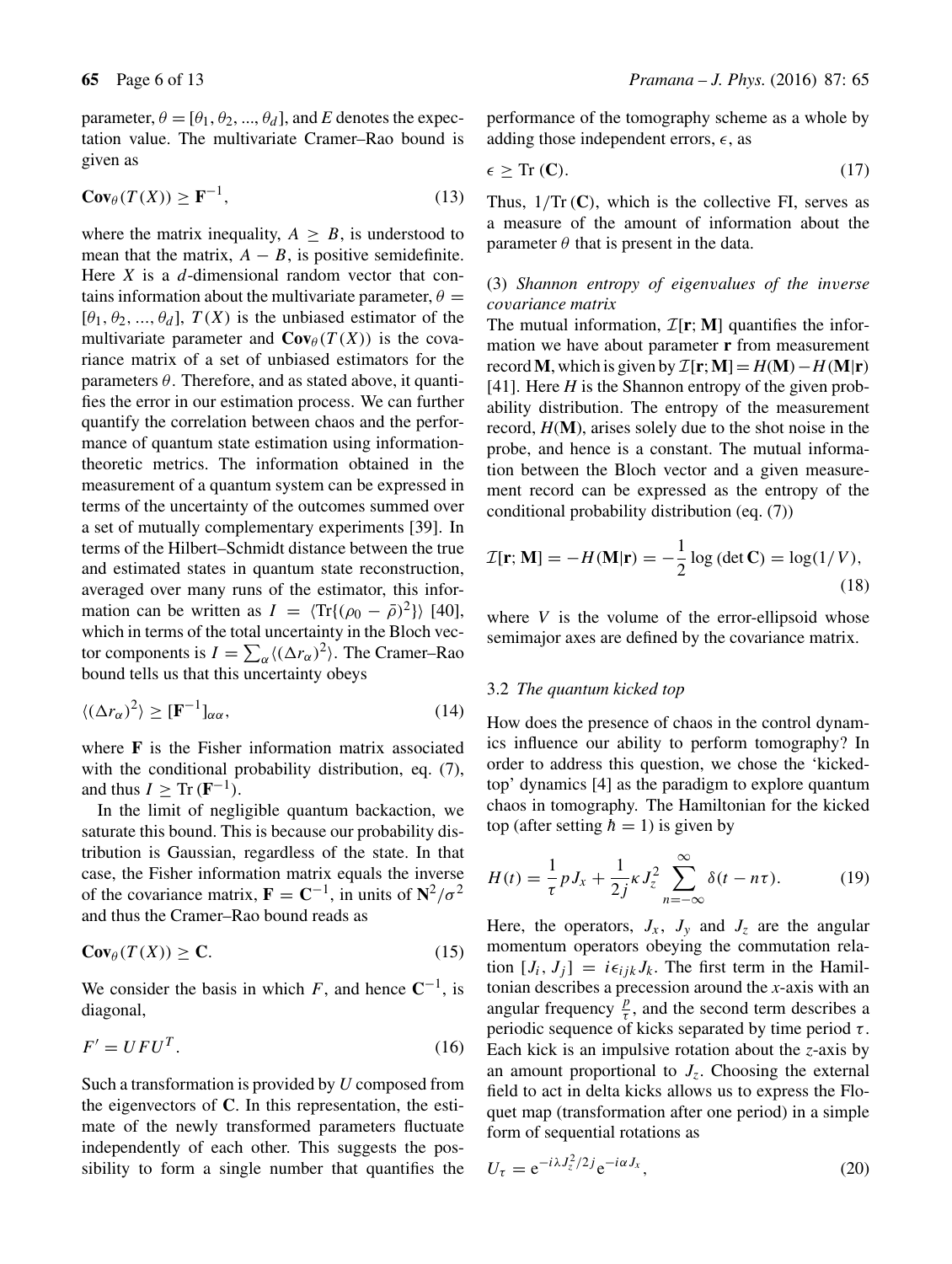parameter,  $\theta = [\theta_1, \theta_2, ..., \theta_d]$ , and *E* denotes the expectation value. The multivariate Cramer–Rao bound is given as

$$
\mathbf{Cov}_{\theta}(T(X)) \ge \mathbf{F}^{-1},\tag{13}
$$

where the matrix inequality,  $A \geq B$ , is understood to mean that the matrix,  $A - B$ , is positive semidefinite. Here *X* is a *d*-dimensional random vector that contains information about the multivariate parameter,  $\theta =$  $[\theta_1, \theta_2, ..., \theta_d]$ ,  $T(X)$  is the unbiased estimator of the multivariate parameter and  $Cov_{\theta}(T(X))$  is the covariance matrix of a set of unbiased estimators for the parameters  $\theta$ . Therefore, and as stated above, it quantifies the error in our estimation process. We can further quantify the correlation between chaos and the performance of quantum state estimation using informationtheoretic metrics. The information obtained in the measurement of a quantum system can be expressed in terms of the uncertainty of the outcomes summed over a set of mutually complementary experiments [39]. In terms of the Hilbert–Schmidt distance between the true and estimated states in quantum state reconstruction, averaged over many runs of the estimator, this information can be written as  $I = \langle \text{Tr}\{(\rho_0 - \bar{\rho})^2\} \rangle$  [40], which in terms of the total uncertainty in the Bloch vector components is  $I = \sum_{\alpha} \langle (\Delta r_{\alpha})^2 \rangle$ . The Cramer–Rao bound tells us that this uncertainty obeys

$$
\langle (\Delta r_{\alpha})^2 \rangle \ge [\mathbf{F}^{-1}]_{\alpha\alpha},\tag{14}
$$

where **F** is the Fisher information matrix associated with the conditional probability distribution, eq. (7), and thus  $I > Tr$  (**F**<sup>-1</sup>).

In the limit of negligible quantum backaction, we saturate this bound. This is because our probability distribution is Gaussian, regardless of the state. In that case, the Fisher information matrix equals the inverse of the covariance matrix,  $\mathbf{F} = \mathbf{C}^{-1}$ , in units of  $\mathbf{N}^2/\sigma^2$ and thus the Cramer–Rao bound reads as

$$
\mathbf{Cov}_{\theta}(T(X)) \geq \mathbf{C}.\tag{15}
$$

We consider the basis in which F, and hence  $\mathbb{C}^{-1}$ , is diagonal,

$$
F' = U F U^T. \tag{16}
$$

Such a transformation is provided by *U* composed from the eigenvectors of **C**. In this representation, the estimate of the newly transformed parameters fluctuate independently of each other. This suggests the possibility to form a single number that quantifies the performance of the tomography scheme as a whole by adding those independent errors,  $\epsilon$ , as

$$
\epsilon \geq \text{Tr}(\mathbf{C}).\tag{17}
$$

Thus,  $1/Tr(C)$ , which is the collective FI, serves as a measure of the amount of information about the parameter  $\theta$  that is present in the data.

# (3) *Shannon entropy of eigen*v*alues of the in*v*erse co*v*ariance matrix*

The mutual information,  $\mathcal{I}[\mathbf{r}; \mathbf{M}]$  quantifies the information we have about parameter **r** from measurement record **M**, which is given by  $\mathcal{I}[\mathbf{r}; \mathbf{M}] = H(\mathbf{M}) - H(\mathbf{M}|\mathbf{r})$ [41]. Here *H* is the Shannon entropy of the given probability distribution. The entropy of the measurement record, *H*(**M**), arises solely due to the shot noise in the probe, and hence is a constant. The mutual information between the Bloch vector and a given measurement record can be expressed as the entropy of the conditional probability distribution (eq. (7))

$$
\mathcal{I}[\mathbf{r}; \mathbf{M}] = -H(\mathbf{M}|\mathbf{r}) = -\frac{1}{2}\log\left(\det \mathbf{C}\right) = \log(1/V),\tag{18}
$$

where  $V$  is the volume of the error-ellipsoid whose semimajor axes are defined by the covariance matrix.

## 3.2 *The quantum kicked top*

How does the presence of chaos in the control dynamics influence our ability to perform tomography? In order to address this question, we chose the 'kickedtop' dynamics [4] as the paradigm to explore quantum chaos in tomography. The Hamiltonian for the kicked top (after setting  $\hbar = 1$ ) is given by

$$
H(t) = \frac{1}{\tau} p J_x + \frac{1}{2j} \kappa J_z^2 \sum_{n = -\infty}^{\infty} \delta(t - n\tau).
$$
 (19)

Here, the operators,  $J_x$ ,  $J_y$  and  $J_z$  are the angular momentum operators obeying the commutation relation  $[J_i, J_j] = i\epsilon_{ijk}J_k$ . The first term in the Hamiltonian describes a precession around the *x*-axis with an angular frequency  $\frac{p}{\tau}$ , and the second term describes a periodic sequence of kicks separated by time period  $\tau$ . Each kick is an impulsive rotation about the *z*-axis by an amount proportional to  $J_z$ . Choosing the external field to act in delta kicks allows us to express the Floquet map (transformation after one period) in a simple form of sequential rotations as

$$
U_{\tau} = e^{-i\lambda J_z^2/2j} e^{-i\alpha J_x}, \qquad (20)
$$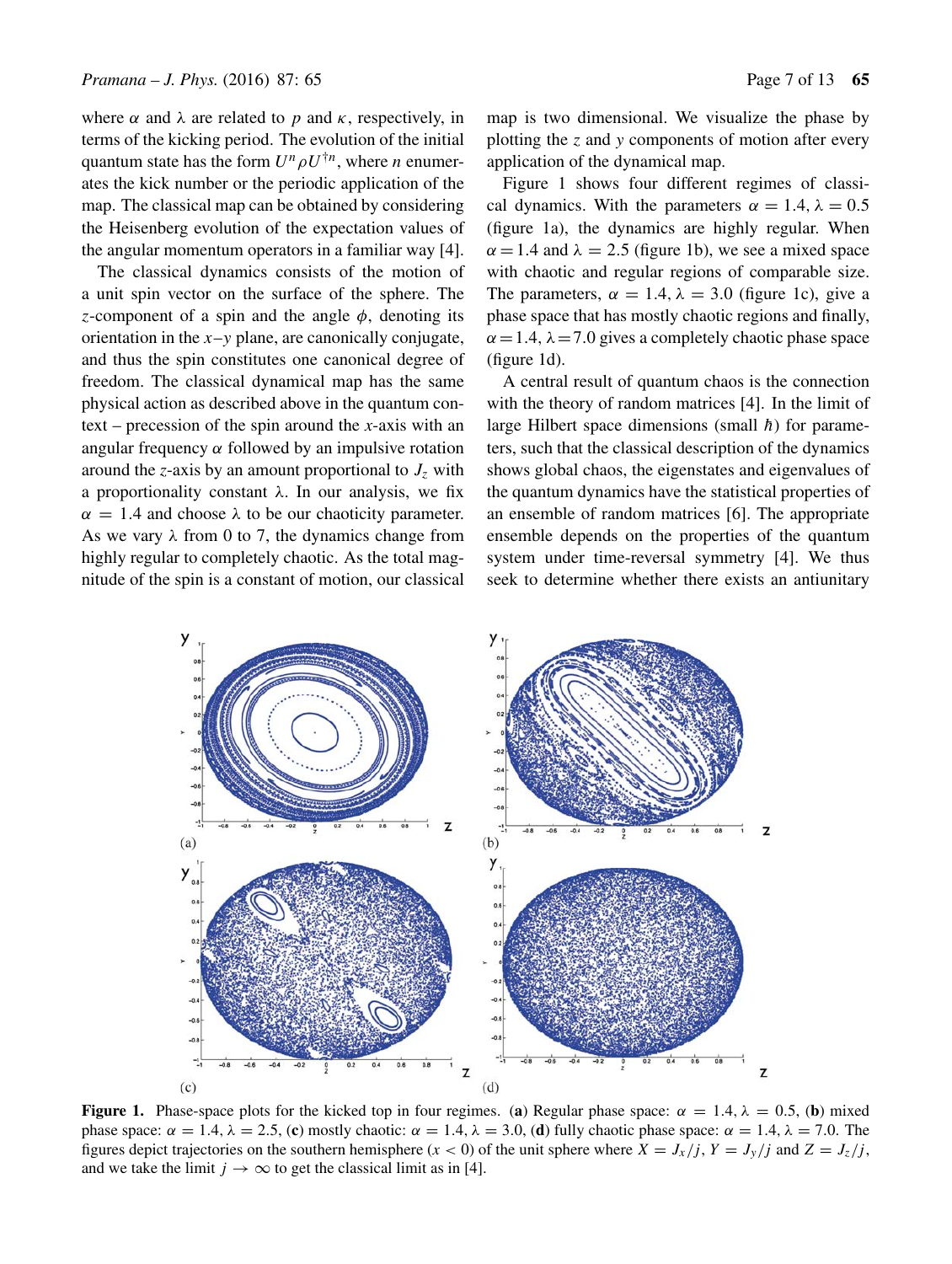where  $\alpha$  and  $\lambda$  are related to p and  $\kappa$ , respectively, in terms of the kicking period. The evolution of the initial quantum state has the form  $U^n \rho U^{\dagger n}$ , where *n* enumerates the kick number or the periodic application of the map. The classical map can be obtained by considering the Heisenberg evolution of the expectation values of the angular momentum operators in a familiar way [4].

The classical dynamics consists of the motion of a unit spin vector on the surface of the sphere. The z-component of a spin and the angle  $\phi$ , denoting its orientation in the  $x-y$  plane, are canonically conjugate, and thus the spin constitutes one canonical degree of freedom. The classical dynamical map has the same physical action as described above in the quantum context – precession of the spin around the *x*-axis with an angular frequency  $\alpha$  followed by an impulsive rotation around the *z*-axis by an amount proportional to  $J_z$  with a proportionality constant  $\lambda$ . In our analysis, we fix  $\alpha = 1.4$  and choose  $\lambda$  to be our chaoticity parameter. As we vary  $\lambda$  from 0 to 7, the dynamics change from highly regular to completely chaotic. As the total magnitude of the spin is a constant of motion, our classical map is two dimensional. We visualize the phase by plotting the *z* and *y* components of motion after every application of the dynamical map.

Figure 1 shows four different regimes of classical dynamics. With the parameters  $\alpha = 1.4$ ,  $\lambda = 0.5$ (figure 1a), the dynamics are highly regular. When  $\alpha = 1.4$  and  $\lambda = 2.5$  (figure 1b), we see a mixed space with chaotic and regular regions of comparable size. The parameters,  $\alpha = 1.4$ ,  $\lambda = 3.0$  (figure 1c), give a phase space that has mostly chaotic regions and finally,  $\alpha$  = 1.4,  $\lambda$  = 7.0 gives a completely chaotic phase space (figure 1d).

A central result of quantum chaos is the connection with the theory of random matrices [4]. In the limit of large Hilbert space dimensions (small  $\hbar$ ) for parameters, such that the classical description of the dynamics shows global chaos, the eigenstates and eigenvalues of the quantum dynamics have the statistical properties of an ensemble of random matrices [6]. The appropriate ensemble depends on the properties of the quantum system under time-reversal symmetry [4]. We thus seek to determine whether there exists an antiunitary



**Figure 1.** Phase-space plots for the kicked top in four regimes. (**a**) Regular phase space:  $\alpha = 1.4$ ,  $\lambda = 0.5$ , (**b**) mixed phase space:  $\alpha = 1.4$ ,  $\lambda = 2.5$ , (c) mostly chaotic:  $\alpha = 1.4$ ,  $\lambda = 3.0$ , (d) fully chaotic phase space:  $\alpha = 1.4$ ,  $\lambda = 7.0$ . The figures depict trajectories on the southern hemisphere (*x* < 0) of the unit sphere where  $X = J_x/j$ ,  $Y = J_y/j$  and  $Z = J_z/j$ , and we take the limit  $j \to \infty$  to get the classical limit as in [4].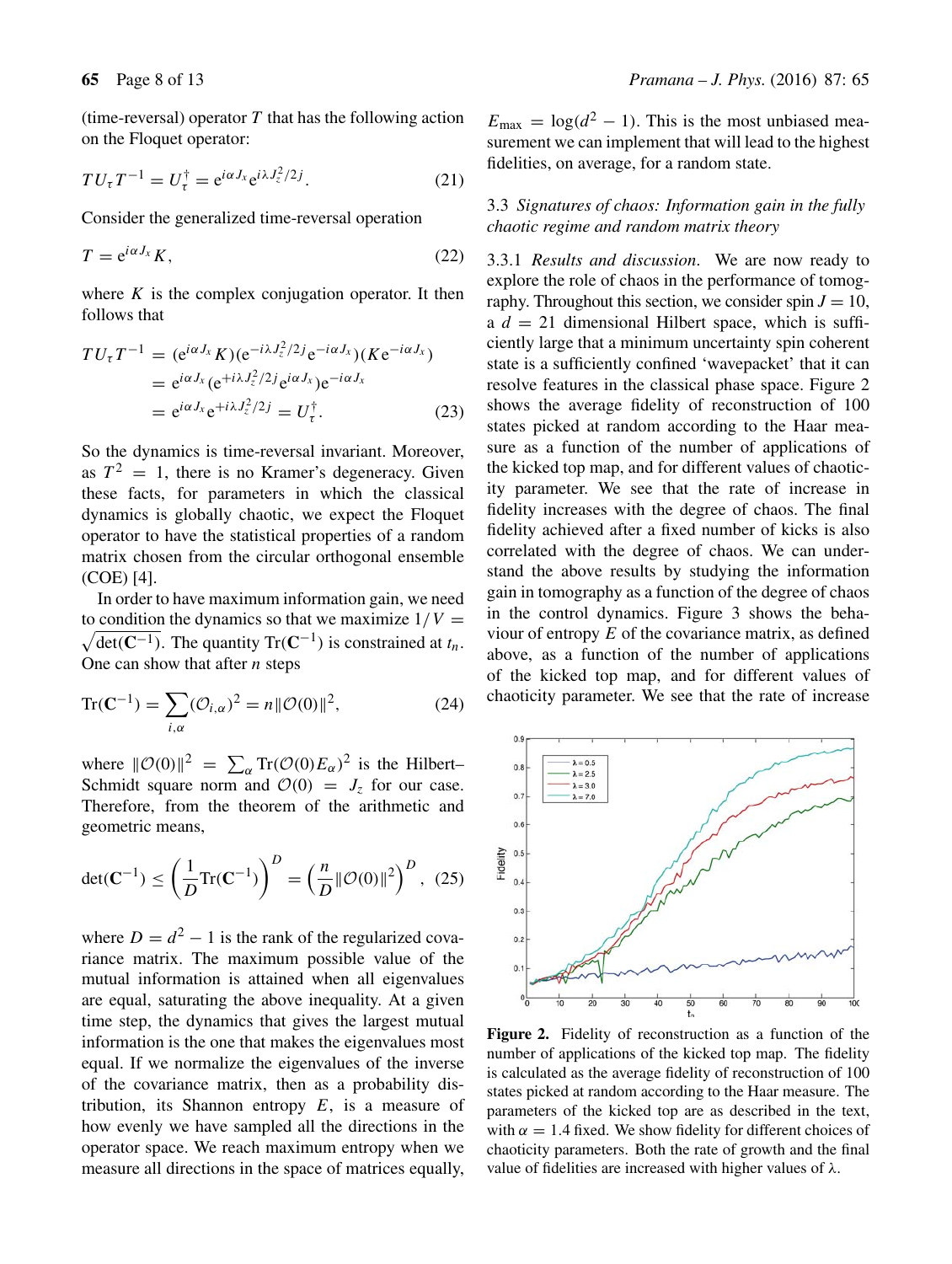(time-reversal) operator  $T$  that has the following action on the Floquet operator:

$$
TU_{\tau}T^{-1} = U_{\tau}^{\dagger} = e^{i\alpha J_x} e^{i\lambda J_z^2/2j}.
$$
 (21)

Consider the generalized time-reversal operation

$$
T = e^{i\alpha J_x} K, \tag{22}
$$

where  $K$  is the complex conjugation operator. It then follows that

$$
TU_{\tau}T^{-1} = (e^{i\alpha J_x} K)(e^{-i\lambda J_z^2/2j}e^{-i\alpha J_x})(Ke^{-i\alpha J_x})
$$
  
\n
$$
= e^{i\alpha J_x}(e^{+i\lambda J_z^2/2j}e^{i\alpha J_x})e^{-i\alpha J_x}
$$
  
\n
$$
= e^{i\alpha J_x}e^{+i\lambda J_z^2/2j} = U_{\tau}^{\dagger}.
$$
 (23)

So the dynamics is time-reversal invariant. Moreover, as  $T^2 = 1$ , there is no Kramer's degeneracy. Given these facts, for parameters in which the classical dynamics is globally chaotic, we expect the Floquet operator to have the statistical properties of a random matrix chosen from the circular orthogonal ensemble (COE) [4].

In order to have maximum information gain, we need  $\sqrt{\det(C^{-1})}$ . The quantity Tr(**C**<sup>−1</sup>) is constrained at  $t_n$ . to condition the dynamics so that we maximize  $1/V =$ One can show that after  $n$  steps

$$
Tr(C^{-1}) = \sum_{i,\alpha} (\mathcal{O}_{i,\alpha})^2 = n ||\mathcal{O}(0)||^2,
$$
 (24)

where  $\|\mathcal{O}(0)\|^2 = \sum_{\alpha} \text{Tr}(\mathcal{O}(0)E_{\alpha})^2$  is the Hilbert– Schmidt square norm and  $\mathcal{O}(0) = J_z$  for our case. Therefore, from the theorem of the arithmetic and geometric means,

$$
\det(\mathbf{C}^{-1}) \le \left(\frac{1}{D} \text{Tr}(\mathbf{C}^{-1})\right)^D = \left(\frac{n}{D} ||\mathcal{O}(0)||^2\right)^D, (25)
$$

where  $D = d^2 - 1$  is the rank of the regularized covariance matrix. The maximum possible value of the mutual information is attained when all eigenvalues are equal, saturating the above inequality. At a given time step, the dynamics that gives the largest mutual information is the one that makes the eigenvalues most equal. If we normalize the eigenvalues of the inverse of the covariance matrix, then as a probability distribution, its Shannon entropy  $E$ , is a measure of how evenly we have sampled all the directions in the operator space. We reach maximum entropy when we measure all directions in the space of matrices equally,

 $E_{\text{max}} = \log(d^2 - 1)$ . This is the most unbiased measurement we can implement that will lead to the highest fidelities, on average, for a random state.

# 3.3 *Signatures of chaos: Information gain in the fully chaotic regime and random matrix theory*

3.3.1 *Results and discussion*. We are now ready to explore the role of chaos in the performance of tomography. Throughout this section, we consider spin  $J = 10$ , a  $d = 21$  dimensional Hilbert space, which is sufficiently large that a minimum uncertainty spin coherent state is a sufficiently confined 'wavepacket' that it can resolve features in the classical phase space. Figure 2 shows the average fidelity of reconstruction of 100 states picked at random according to the Haar measure as a function of the number of applications of the kicked top map, and for different values of chaoticity parameter. We see that the rate of increase in fidelity increases with the degree of chaos. The final fidelity achieved after a fixed number of kicks is also correlated with the degree of chaos. We can understand the above results by studying the information gain in tomography as a function of the degree of chaos in the control dynamics. Figure 3 shows the behaviour of entropy  $E$  of the covariance matrix, as defined above, as a function of the number of applications of the kicked top map, and for different values of chaoticity parameter. We see that the rate of increase



**Figure 2.** Fidelity of reconstruction as a function of the number of applications of the kicked top map. The fidelity is calculated as the average fidelity of reconstruction of 100 states picked at random according to the Haar measure. The parameters of the kicked top are as described in the text, with  $\alpha = 1.4$  fixed. We show fidelity for different choices of chaoticity parameters. Both the rate of growth and the final value of fidelities are increased with higher values of  $\lambda$ .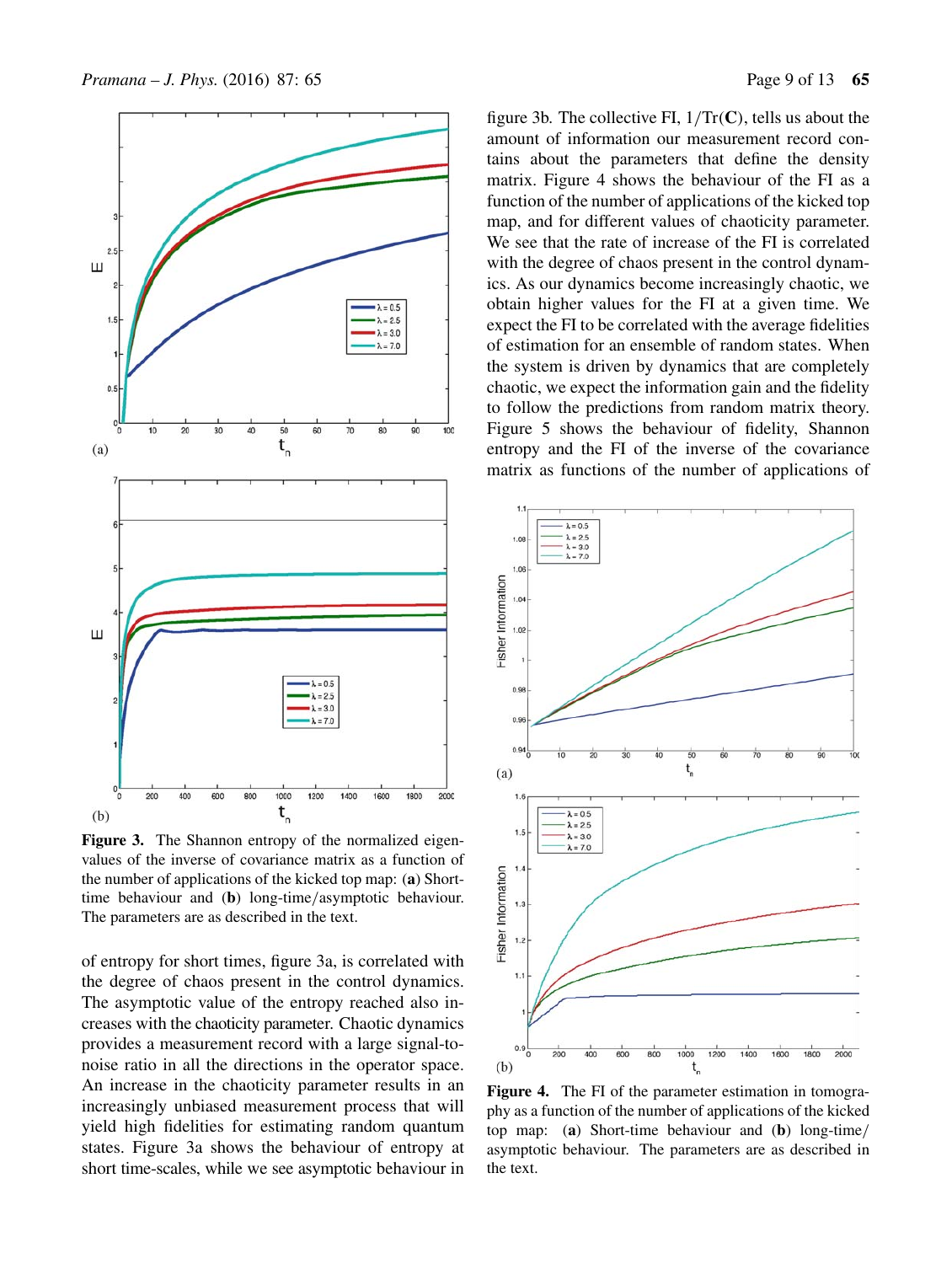

**Figure 3.** The Shannon entropy of the normalized eigenvalues of the inverse of covariance matrix as a function of the number of applications of the kicked top map: (**a**) Shorttime behaviour and (**b**) long-time/asymptotic behaviour. The parameters are as described in the text.

of entropy for short times, figure 3a, is correlated with the degree of chaos present in the control dynamics. The asymptotic value of the entropy reached also increases with the chaoticity parameter. Chaotic dynamics provides a measurement record with a large signal-tonoise ratio in all the directions in the operator space. An increase in the chaoticity parameter results in an increasingly unbiased measurement process that will yield high fidelities for estimating random quantum states. Figure 3a shows the behaviour of entropy at short time-scales, while we see asymptotic behaviour in figure 3b. The collective FI, 1/Tr(**C**), tells us about the amount of information our measurement record contains about the parameters that define the density matrix. Figure 4 shows the behaviour of the FI as a function of the number of applications of the kicked top map, and for different values of chaoticity parameter. We see that the rate of increase of the FI is correlated with the degree of chaos present in the control dynamics. As our dynamics become increasingly chaotic, we obtain higher values for the FI at a given time. We expect the FI to be correlated with the average fidelities of estimation for an ensemble of random states. When the system is driven by dynamics that are completely chaotic, we expect the information gain and the fidelity to follow the predictions from random matrix theory. Figure 5 shows the behaviour of fidelity, Shannon entropy and the FI of the inverse of the covariance matrix as functions of the number of applications of



Figure 4. The FI of the parameter estimation in tomography as a function of the number of applications of the kicked top map: (**a**) Short-time behaviour and (**b**) long-time/ asymptotic behaviour. The parameters are as described in the text.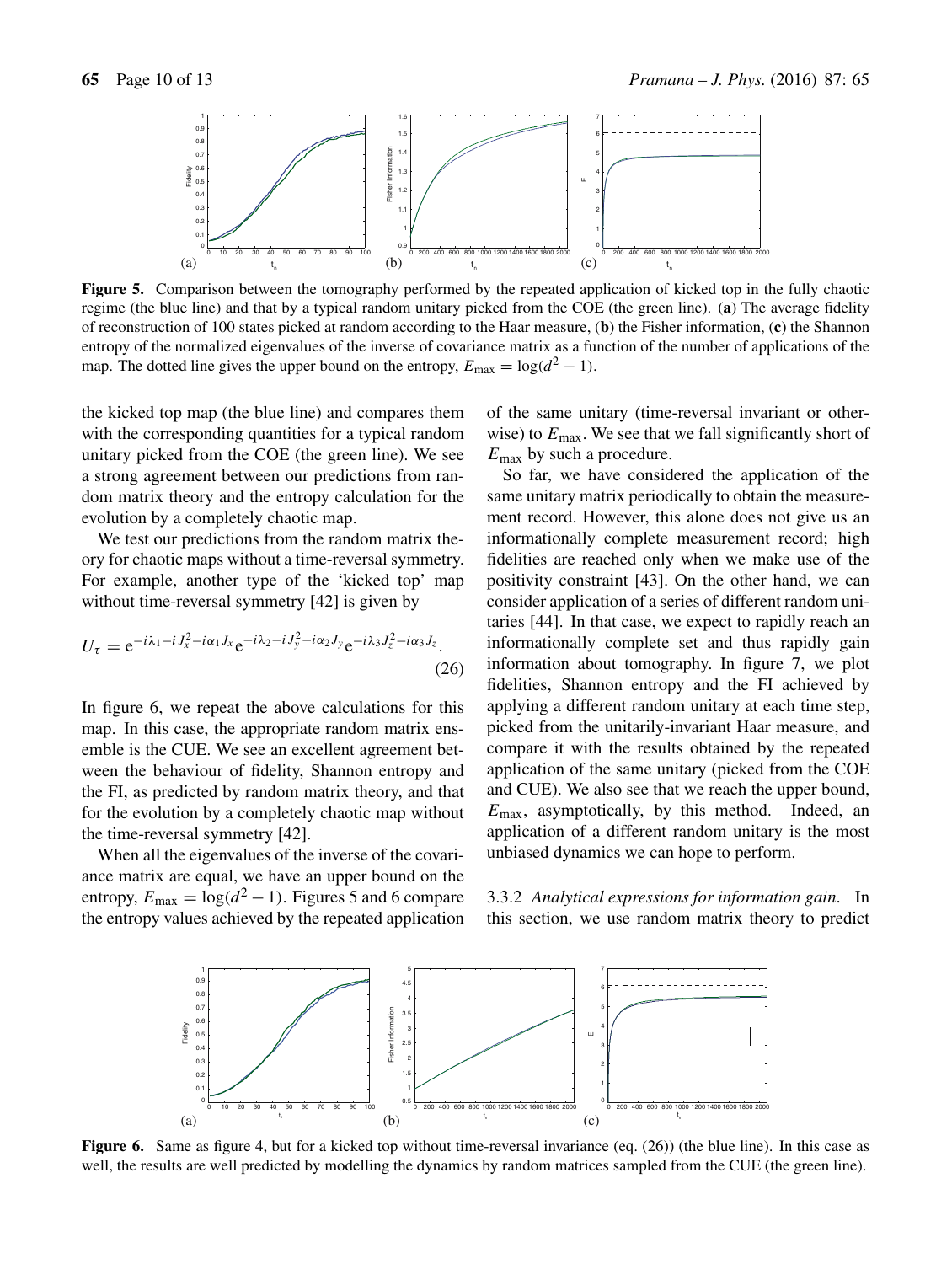

**Figure 5.** Comparison between the tomography performed by the repeated application of kicked top in the fully chaotic regime (the blue line) and that by a typical random unitary picked from the COE (the green line). (**a**) The average fidelity of reconstruction of 100 states picked at random according to the Haar measure, (**b**) the Fisher information, (**c**) the Shannon entropy of the normalized eigenvalues of the inverse of covariance matrix as a function of the number of applications of the map. The dotted line gives the upper bound on the entropy,  $E_{\text{max}} = \log(d^2 - 1)$ .

the kicked top map (the blue line) and compares them with the corresponding quantities for a typical random unitary picked from the COE (the green line). We see a strong agreement between our predictions from random matrix theory and the entropy calculation for the evolution by a completely chaotic map.

We test our predictions from the random matrix theory for chaotic maps without a time-reversal symmetry. For example, another type of the 'kicked top' map without time-reversal symmetry [42] is given by

$$
U_{\tau} = e^{-i\lambda_1 - iJ_x^2 - i\alpha_1 J_x} e^{-i\lambda_2 - iJ_y^2 - i\alpha_2 J_y} e^{-i\lambda_3 J_z^2 - i\alpha_3 J_z}.
$$
\n(26)

In figure 6, we repeat the above calculations for this map. In this case, the appropriate random matrix ensemble is the CUE. We see an excellent agreement between the behaviour of fidelity, Shannon entropy and the FI, as predicted by random matrix theory, and that for the evolution by a completely chaotic map without the time-reversal symmetry [42].

When all the eigenvalues of the inverse of the covariance matrix are equal, we have an upper bound on the entropy,  $E_{\text{max}} = \log(d^2 - 1)$ . Figures 5 and 6 compare the entropy values achieved by the repeated application of the same unitary (time-reversal invariant or otherwise) to  $E_{\text{max}}$ . We see that we fall significantly short of  $E_{\text{max}}$  by such a procedure.

So far, we have considered the application of the same unitary matrix periodically to obtain the measurement record. However, this alone does not give us an informationally complete measurement record; high fidelities are reached only when we make use of the positivity constraint [43]. On the other hand, we can consider application of a series of different random unitaries [44]. In that case, we expect to rapidly reach an informationally complete set and thus rapidly gain information about tomography. In figure 7, we plot fidelities, Shannon entropy and the FI achieved by applying a different random unitary at each time step, picked from the unitarily-invariant Haar measure, and compare it with the results obtained by the repeated application of the same unitary (picked from the COE and CUE). We also see that we reach the upper bound,  $E_{\text{max}}$ , asymptotically, by this method. Indeed, an application of a different random unitary is the most unbiased dynamics we can hope to perform.

3.3.2 *Analytical expressions for information gain*. In this section, we use random matrix theory to predict



**Figure 6.** Same as figure 4, but for a kicked top without time-reversal invariance (eq. (26)) (the blue line). In this case as well, the results are well predicted by modelling the dynamics by random matrices sampled from the CUE (the green line).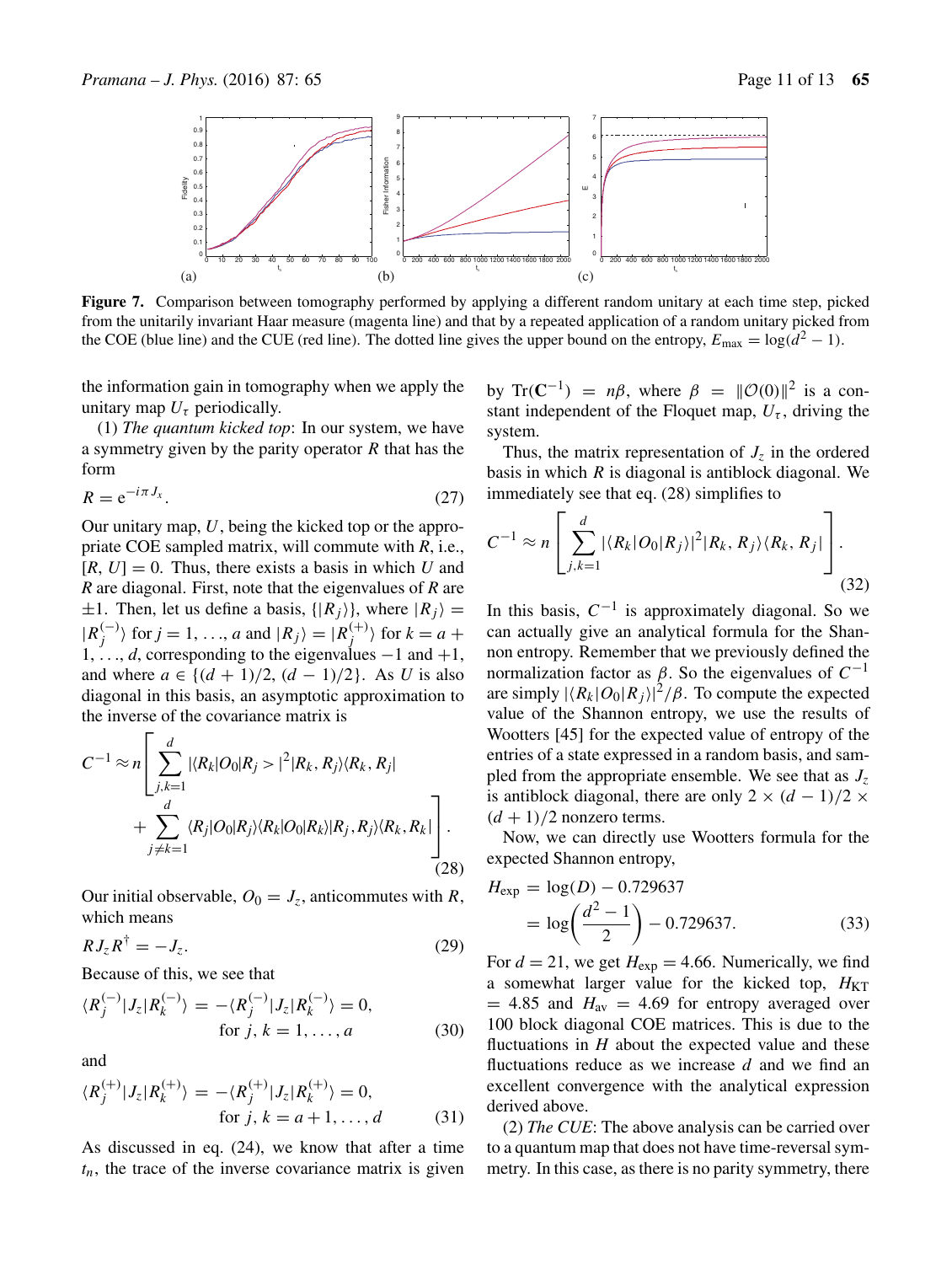

**Figure 7.** Comparison between tomography performed by applying a different random unitary at each time step, picked from the unitarily invariant Haar measure (magenta line) and that by a repeated application of a random unitary picked from the COE (blue line) and the CUE (red line). The dotted line gives the upper bound on the entropy,  $E_{\text{max}} = \log(d^2 - 1)$ .

the information gain in tomography when we apply the unitary map  $U_{\tau}$  periodically.

(1) *The quantum kicked top*: In our system, we have a symmetry given by the parity operator  $R$  that has the form

$$
R = e^{-i\pi J_x}.
$$
 (27)

Our unitary map,  $U$ , being the kicked top or the appropriate COE sampled matrix, will commute with *R*, i.e.,  $[R, U] = 0$ . Thus, there exists a basis in which *U* and *R* are diagonal. First, note that the eigenvalues of *R* are  $\pm 1$ . Then, let us define a basis,  $\{ |R_i \rangle \}$ , where  $|R_i \rangle =$  $|R_j^{(-)}\rangle$  for  $j = 1, ..., a$  and  $|R_j\rangle = |R_j^{(+)}\rangle$  for  $k = a +$  $1, \ldots, d$ , corresponding to the eigenvalues  $-1$  and  $+1$ , and where  $a \in \{(d+1)/2, (d-1)/2\}$ . As *U* is also diagonal in this basis, an asymptotic approximation to the inverse of the covariance matrix is

$$
C^{-1} \approx n \left[ \sum_{j,k=1}^{d} |\langle R_k | O_0 | R_j \rangle|^2 | R_k, R_j \rangle \langle R_k, R_j | + \sum_{j \neq k=1}^{d} \langle R_j | O_0 | R_j \rangle \langle R_k | O_0 | R_k \rangle | R_j, R_j \rangle \langle R_k, R_k | \right].
$$
\n(28)

Our initial observable,  $O_0 = J_z$ , anticommutes with R, which means

$$
RJ_z R^{\dagger} = -J_z. \tag{29}
$$

Because of this, we see that

$$
\langle R_j^{(-)} | J_z | R_k^{(-)} \rangle = -\langle R_j^{(-)} | J_z | R_k^{(-)} \rangle = 0, \n\text{for } j, k = 1, ..., a
$$
\n(30)

and

$$
\langle R_j^{(+)} | J_z | R_k^{(+)} \rangle = -\langle R_j^{(+)} | J_z | R_k^{(+)} \rangle = 0, \n\text{for } j, k = a+1, ..., d
$$
\n(31)

As discussed in eq. (24), we know that after a time  $t_n$ , the trace of the inverse covariance matrix is given

by Tr( $\mathbb{C}^{-1}$ ) =  $n\beta$ , where  $\beta = \|\mathcal{O}(0)\|^2$  is a constant independent of the Floquet map,  $U_{\tau}$ , driving the system.

Thus, the matrix representation of  $J_z$  in the ordered basis in which  $R$  is diagonal is antiblock diagonal. We immediately see that eq. (28) simplifies to

$$
C^{-1} \approx n \left[ \sum_{j,k=1}^{d} |\langle R_k | O_0 | R_j \rangle|^2 | R_k, R_j \rangle \langle R_k, R_j | \right].
$$
\n(32)

In this basis,  $C^{-1}$  is approximately diagonal. So we can actually give an analytical formula for the Shannon entropy. Remember that we previously defined the normalization factor as  $\beta$ . So the eigenvalues of  $C^{-1}$ are simply  $|\langle R_k|O_0|R_i\rangle|^2/\beta$ . To compute the expected value of the Shannon entropy, we use the results of Wootters [45] for the expected value of entropy of the entries of a state expressed in a random basis, and sampled from the appropriate ensemble. We see that as  $J_z$ is antiblock diagonal, there are only  $2 \times (d - 1)/2 \times$  $(d+1)/2$  nonzero terms.

Now, we can directly use Wootters formula for the expected Shannon entropy,

$$
H_{\rm exp} = \log(D) - 0.729637
$$
  
=  $\log\left(\frac{d^2 - 1}{2}\right) - 0.729637.$  (33)

For  $d = 21$ , we get  $H_{\text{exp}} = 4.66$ . Numerically, we find a somewhat larger value for the kicked top,  $H_{\text{KT}}$  $= 4.85$  and  $H_{av} = 4.69$  for entropy averaged over 100 block diagonal COE matrices. This is due to the fluctuations in  $H$  about the expected value and these fluctuations reduce as we increase d and we find an excellent convergence with the analytical expression derived above.

(2) *The CUE*: The above analysis can be carried over to a quantum map that does not have time-reversal symmetry. In this case, as there is no parity symmetry, there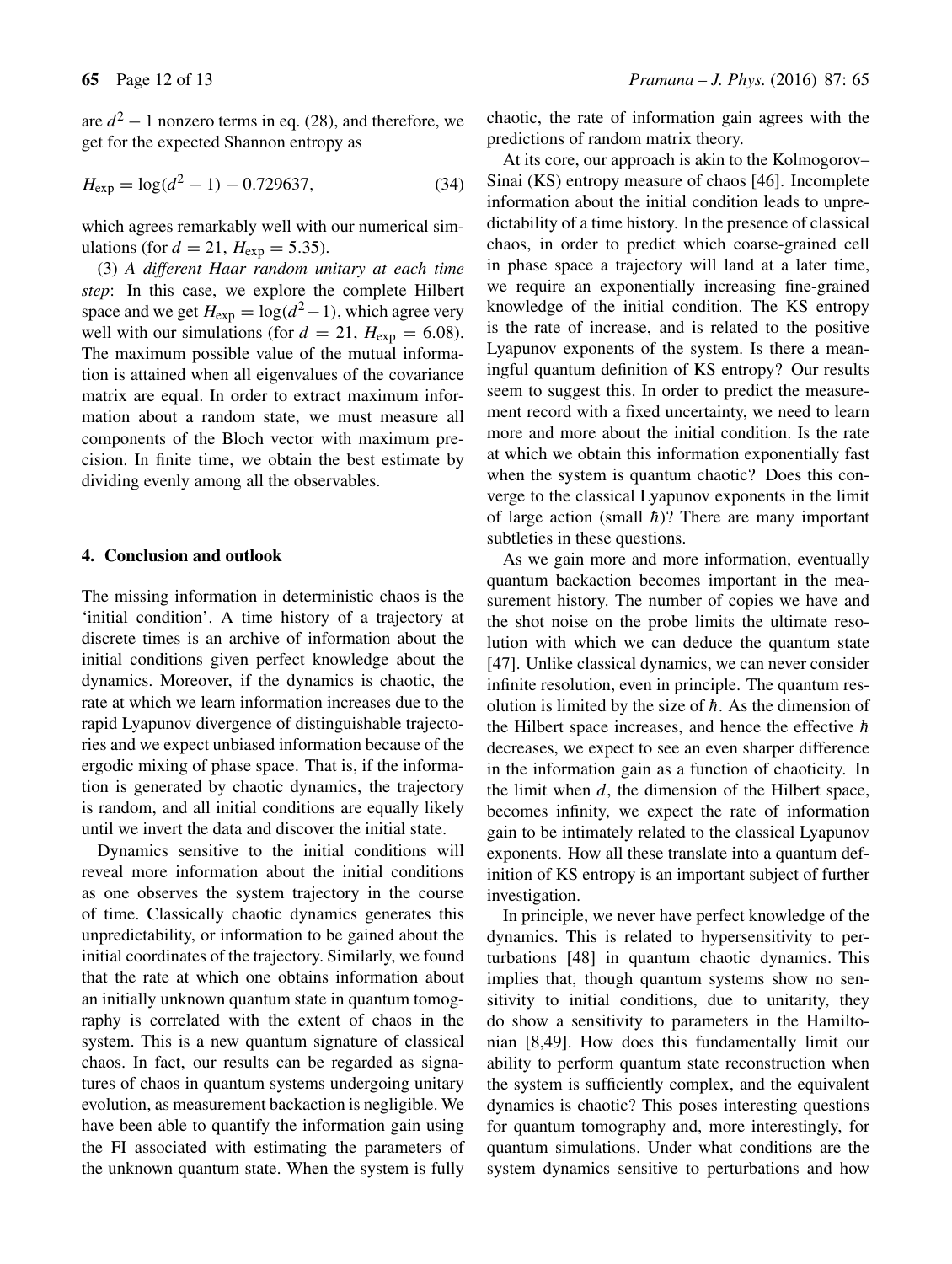$$
H_{\rm exp} = \log(d^2 - 1) - 0.729637,\tag{34}
$$

get for the expected Shannon entropy as

which agrees remarkably well with our numerical simulations (for  $d = 21$ ,  $H_{\text{exp}} = 5.35$ ).

(3) *A different Haar random unitary at each time step*: In this case, we explore the complete Hilbert space and we get  $H_{\text{exp}} = \log(d^2 - 1)$ , which agree very well with our simulations (for  $d = 21$ ,  $H_{\text{exp}} = 6.08$ ). The maximum possible value of the mutual information is attained when all eigenvalues of the covariance matrix are equal. In order to extract maximum information about a random state, we must measure all components of the Bloch vector with maximum precision. In finite time, we obtain the best estimate by dividing evenly among all the observables.

# **4. Conclusion and outlook**

The missing information in deterministic chaos is the 'initial condition'. A time history of a trajectory at discrete times is an archive of information about the initial conditions given perfect knowledge about the dynamics. Moreover, if the dynamics is chaotic, the rate at which we learn information increases due to the rapid Lyapunov divergence of distinguishable trajectories and we expect unbiased information because of the ergodic mixing of phase space. That is, if the information is generated by chaotic dynamics, the trajectory is random, and all initial conditions are equally likely until we invert the data and discover the initial state.

Dynamics sensitive to the initial conditions will reveal more information about the initial conditions as one observes the system trajectory in the course of time. Classically chaotic dynamics generates this unpredictability, or information to be gained about the initial coordinates of the trajectory. Similarly, we found that the rate at which one obtains information about an initially unknown quantum state in quantum tomography is correlated with the extent of chaos in the system. This is a new quantum signature of classical chaos. In fact, our results can be regarded as signatures of chaos in quantum systems undergoing unitary evolution, as measurement backaction is negligible. We have been able to quantify the information gain using the FI associated with estimating the parameters of the unknown quantum state. When the system is fully chaotic, the rate of information gain agrees with the predictions of random matrix theory.

At its core, our approach is akin to the Kolmogorov– Sinai (KS) entropy measure of chaos [46]. Incomplete information about the initial condition leads to unpredictability of a time history. In the presence of classical chaos, in order to predict which coarse-grained cell in phase space a trajectory will land at a later time, we require an exponentially increasing fine-grained knowledge of the initial condition. The KS entropy is the rate of increase, and is related to the positive Lyapunov exponents of the system. Is there a meaningful quantum definition of KS entropy? Our results seem to suggest this. In order to predict the measurement record with a fixed uncertainty, we need to learn more and more about the initial condition. Is the rate at which we obtain this information exponentially fast when the system is quantum chaotic? Does this converge to the classical Lyapunov exponents in the limit of large action (small  $\hbar$ )? There are many important subtleties in these questions.

As we gain more and more information, eventually quantum backaction becomes important in the measurement history. The number of copies we have and the shot noise on the probe limits the ultimate resolution with which we can deduce the quantum state [47]. Unlike classical dynamics, we can never consider infinite resolution, even in principle. The quantum resolution is limited by the size of  $\hbar$ . As the dimension of the Hilbert space increases, and hence the effective  $\hbar$ decreases, we expect to see an even sharper difference in the information gain as a function of chaoticity. In the limit when  $d$ , the dimension of the Hilbert space, becomes infinity, we expect the rate of information gain to be intimately related to the classical Lyapunov exponents. How all these translate into a quantum definition of KS entropy is an important subject of further investigation.

In principle, we never have perfect knowledge of the dynamics. This is related to hypersensitivity to perturbations [48] in quantum chaotic dynamics. This implies that, though quantum systems show no sensitivity to initial conditions, due to unitarity, they do show a sensitivity to parameters in the Hamiltonian [8,49]. How does this fundamentally limit our ability to perform quantum state reconstruction when the system is sufficiently complex, and the equivalent dynamics is chaotic? This poses interesting questions for quantum tomography and, more interestingly, for quantum simulations. Under what conditions are the system dynamics sensitive to perturbations and how